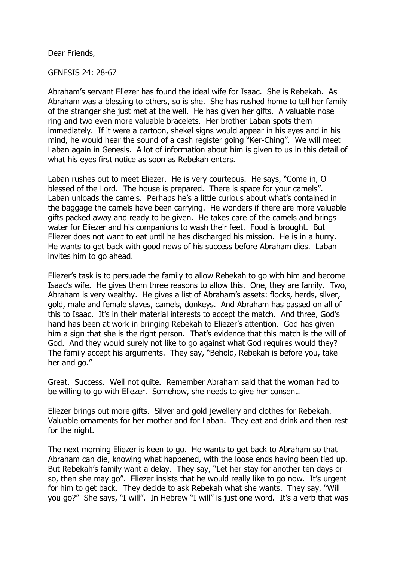Dear Friends,

GENESIS 24: 28-67

Abraham's servant Eliezer has found the ideal wife for Isaac. She is Rebekah. As Abraham was a blessing to others, so is she. She has rushed home to tell her family of the stranger she just met at the well. He has given her gifts. A valuable nose ring and two even more valuable bracelets. Her brother Laban spots them immediately. If it were a cartoon, shekel signs would appear in his eyes and in his mind, he would hear the sound of a cash register going "Ker-Ching". We will meet Laban again in Genesis. A lot of information about him is given to us in this detail of what his eyes first notice as soon as Rebekah enters.

Laban rushes out to meet Eliezer. He is very courteous. He says, "Come in, O blessed of the Lord. The house is prepared. There is space for your camels". Laban unloads the camels. Perhaps he's a little curious about what's contained in the baggage the camels have been carrying. He wonders if there are more valuable gifts packed away and ready to be given. He takes care of the camels and brings water for Eliezer and his companions to wash their feet. Food is brought. But Eliezer does not want to eat until he has discharged his mission. He is in a hurry. He wants to get back with good news of his success before Abraham dies. Laban invites him to go ahead.

Eliezer's task is to persuade the family to allow Rebekah to go with him and become Isaac's wife. He gives them three reasons to allow this. One, they are family. Two, Abraham is very wealthy. He gives a list of Abraham's assets: flocks, herds, silver, gold, male and female slaves, camels, donkeys. And Abraham has passed on all of this to Isaac. It's in their material interests to accept the match. And three, God's hand has been at work in bringing Rebekah to Eliezer's attention. God has given him a sign that she is the right person. That's evidence that this match is the will of God. And they would surely not like to go against what God requires would they? The family accept his arguments. They say, "Behold, Rebekah is before you, take her and go."

Great. Success. Well not quite. Remember Abraham said that the woman had to be willing to go with Eliezer. Somehow, she needs to give her consent.

Eliezer brings out more gifts. Silver and gold jewellery and clothes for Rebekah. Valuable ornaments for her mother and for Laban. They eat and drink and then rest for the night.

The next morning Eliezer is keen to go. He wants to get back to Abraham so that Abraham can die, knowing what happened, with the loose ends having been tied up. But Rebekah's family want a delay. They say, "Let her stay for another ten days or so, then she may go". Eliezer insists that he would really like to go now. It's urgent for him to get back. They decide to ask Rebekah what she wants. They say, "Will you go?" She says, "I will". In Hebrew "I will" is just one word. It's a verb that was